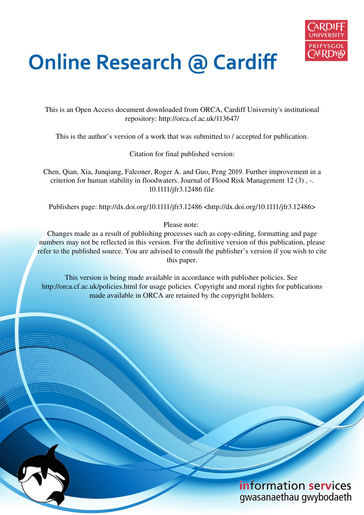

# **Online Research @ Cardiff**

This is an Open Access document downloaded from ORCA, Cardiff University's institutional repository: http://orca.cf.ac.uk/113647/

This is the author's version of a work that was submitted to / accepted for publication.

Citation for final published version:

Chen, Qian, Xia, Junqiang, Falconer, Roger A. and Guo, Peng 2019. Further improvement in a criterion for human stability in floodwaters. Journal of Flood Risk Management 12 (3) , -. 10.1111/jfr3.12486 file

Publishers page: http://dx.doi.org/10.1111/jfr3.12486 <http://dx.doi.org/10.1111/jfr3.12486>

Please note:

Changes made as a result of publishing processes such as copy-editing, formatting and page numbers may not be reflected in this version. For the definitive version of this publication, please refer to the published source. You are advised to consult the publisher's version if you wish to cite this paper.

This version is being made available in accordance with publisher policies. See http://orca.cf.ac.uk/policies.html for usage policies. Copyright and moral rights for publications made available in ORCA are retained by the copyright holders.

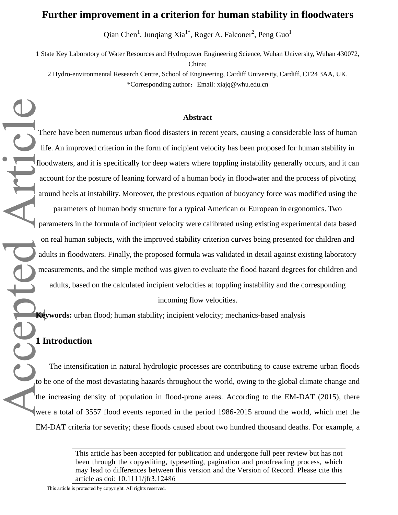## **Further improvement in a criterion for human stability in floodwaters**

Qian Chen<sup>1</sup>, Junqiang Xia<sup>1\*</sup>, Roger A. Falconer<sup>2</sup>, Peng Guo<sup>1</sup>

1 State Key Laboratory of Water Resources and Hydropower Engineering Science, Wuhan University, Wuhan 430072, China;

2 Hydro-environmental Research Centre, School of Engineering, Cardiff University, Cardiff, CF24 3AA, UK. \*Corresponding author:Email: xiajq@whu.edu.cn

#### **Abstract**

There have been numerous urban flood disasters in recent years, causing a considerable loss of human life. An improved criterion in the form of incipient velocity has been proposed for human stability in floodwaters, and it is specifically for deep waters where toppling instability generally occurs, and it can account for the posture of leaning forward of a human body in floodwater and the process of pivoting around heels at instability. Moreover, the previous equation of buoyancy force was modified using the

There<br>
There<br>
If I De Record<br>
The Article Conducts<br>
The Article Conducts<br>
The Measure and Article Conducts<br>
The Measure and Article Conducts<br>
The Measure and Article Conducts<br>
The Measure and Article Conducts<br>
Were a parameters of human body structure for a typical American or European in ergonomics. Two parameters in the formula of incipient velocity were calibrated using existing experimental data based on real human subjects, with the improved stability criterion curves being presented for children and adults in floodwaters. Finally, the proposed formula was validated in detail against existing laboratory measurements, and the simple method was given to evaluate the flood hazard degrees for children and adults, based on the calculated incipient velocities at toppling instability and the corresponding

incoming flow velocities.

**Keywords:** urban flood; human stability; incipient velocity; mechanics-based analysis

## **1 Introduction**

 $\overline{\overline{C}}$ 

TT1

The intensification in natural hydrologic processes are contributing to cause extreme urban floods to be one of the most devastating hazards throughout the world, owing to the global climate change and the increasing density of population in flood-prone areas. According to the EM-DAT (2015), there were a total of 3557 flood events reported in the period 1986-2015 around the world, which met the EM-DAT criteria for severity; these floods caused about two hundred thousand deaths. For example, a

> This article has been accepted for publication and undergone full peer review but has not been through the copyediting, typesetting, pagination and proofreading process, which may lead to differences between this version and the Version of Record. Please cite this article as doi: 10.1111/jfr3.12486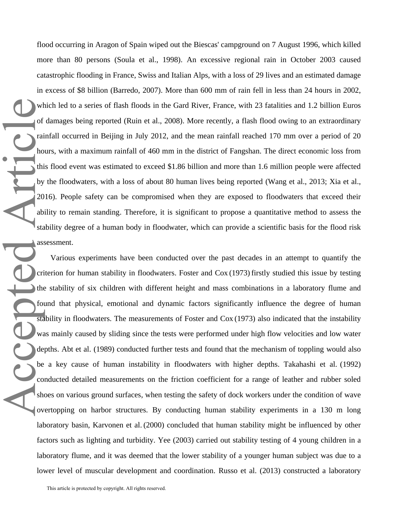flood occurring in Aragon of Spain wiped out the Biescas' campground on 7 August 1996, which killed more than 80 persons (Soula et al., 1998). An excessive regional rain in October 2003 caused catastrophic flooding in France, Swiss and Italian Alps, with a loss of 29 lives and an estimated damage in excess of \$8 billion (Barredo, 2007). More than 600 mm of rain fell in less than 24 hours in 2002, which led to a series of flash floods in the Gard River, France, with 23 fatalities and 1.2 billion Euros of damages being reported (Ruin et al., 2008). More recently, a flash flood owing to an extraordinary rainfall occurred in Beijing in July 2012, and the mean rainfall reached 170 mm over a period of 20 hours, with a maximum rainfall of 460 mm in the district of Fangshan. The direct economic loss from this flood event was estimated to exceed \$1.86 billion and more than 1.6 million people were affected by the floodwaters, with a loss of about 80 human lives being reported (Wang et al., 2013; Xia et al., 2016). People safety can be compromised when they are exposed to floodwaters that exceed their ability to remain standing. Therefore, it is significant to propose a quantitative method to assess the stability degree of a human body in floodwater, which can provide a scientific basis for the flood risk assessment.

Which<br>
of dar<br>
of dar<br>
nours,<br>
this fle<br>
by the<br>
2016).<br>
ability<br>
stabili<br>
stabili<br>
was m<br>
depths<br>
be a<br>
condu<br>
shoes<br>
overto Various experiments have been conducted over the past decades in an attempt to quantify the criterion for human stability in floodwaters. Foster and Cox (1973) firstly studied this issue by testing the stability of six children with different height and mass combinations in a laboratory flume and found that physical, emotional and dynamic factors significantly influence the degree of human stability in floodwaters. The measurements of Foster and Cox (1973) also indicated that the instability was mainly caused by sliding since the tests were performed under high flow velocities and low water depths. Abt et al. (1989) conducted further tests and found that the mechanism of toppling would also be a key cause of human instability in floodwaters with higher depths. Takahashi et al. (1992) conducted detailed measurements on the friction coefficient for a range of leather and rubber soled shoes on various ground surfaces, when testing the safety of dock workers under the condition of wave overtopping on harbor structures. By conducting human stability experiments in a 130 m long laboratory basin, Karvonen et al. (2000) concluded that human stability might be influenced by other factors such as lighting and turbidity. Yee (2003) carried out stability testing of 4 young children in a laboratory flume, and it was deemed that the lower stability of a younger human subject was due to a lower level of muscular development and coordination. Russo et al. (2013) constructed a laboratory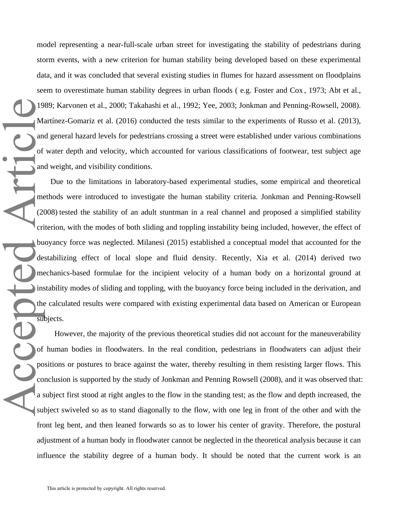model representing a near-full-scale urban street for investigating the stability of pedestrians during storm events, with a new criterion for human stability being developed based on these experimental data, and it was concluded that several existing studies in flumes for hazard assessment on floodplains seem to overestimate human stability degrees in urban floods ( e.g. Foster and Cox , 1973; Abt et al., 1989; Karvonen et al., 2000; Takahashi et al., 1992; Yee, 2003; Jonkman and Penning-Rowsell, 2008). Martínez-Gomariz et al. (2016) conducted the tests similar to the experiments of Russo et al. (2013), and general hazard levels for pedestrians crossing a street were established under various combinations of water depth and velocity, which accounted for various classifications of footwear, test subject age and weight, and visibility conditions.

1989;<br>
Martin<br>
and ge<br>
of ward<br>
and w<br>
D<br>
metho<br>
(2008)<br>
criteri<br>
mecha<br>
instab<br>
the ca<br>
subjec<br>
onclu<br>
a subj<br>
subjec<br>
subjec<br>
subjec<br>
and june of hung<br>
instab<br>
positic<br>
conclu<br>
conclu<br>
and y<br>
mecha<br>
instab<br>
subjec<br>
a sub Due to the limitations in laboratory-based experimental studies, some empirical and theoretical methods were introduced to investigate the human stability criteria. Jonkman and Penning-Rowsell (2008) tested the stability of an adult stuntman in a real channel and proposed a simplified stability criterion, with the modes of both sliding and toppling instability being included, however, the effect of buoyancy force was neglected. Milanesi (2015) established a conceptual model that accounted for the destabilizing effect of local slope and fluid density. Recently, Xia et al. (2014) derived two mechanics-based formulae for the incipient velocity of a human body on a horizontal ground at instability modes of sliding and toppling, with the buoyancy force being included in the derivation, and the calculated results were compared with existing experimental data based on American or European subjects.

However, the majority of the previous theoretical studies did not account for the maneuverability of human bodies in floodwaters. In the real condition, pedestrians in floodwaters can adjust their positions or postures to brace against the water, thereby resulting in them resisting larger flows. This conclusion is supported by the study of Jonkman and Penning Rowsell (2008), and it was observed that: a subject first stood at right angles to the flow in the standing test; as the flow and depth increased, the subject swiveled so as to stand diagonally to the flow, with one leg in front of the other and with the front leg bent, and then leaned forwards so as to lower his center of gravity. Therefore, the postural adjustment of a human body in floodwater cannot be neglected in the theoretical analysis because it can influence the stability degree of a human body. It should be noted that the current work is an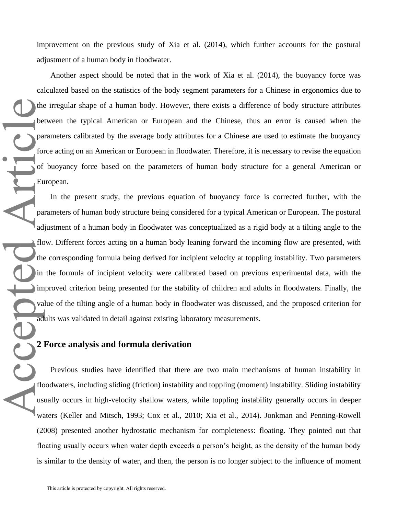improvement on the previous study of Xia et al. (2014), which further accounts for the postural adjustment of a human body in floodwater.

Another aspect should be noted that in the work of Xia et al. (2014), the buoyancy force was calculated based on the statistics of the body segment parameters for a Chinese in ergonomics due to the irregular shape of a human body. However, there exists a difference of body structure attributes between the typical American or European and the Chinese, thus an error is caused when the parameters calibrated by the average body attributes for a Chinese are used to estimate the buoyancy force acting on an American or European in floodwater. Therefore, it is necessary to revise the equation of buoyancy force based on the parameters of human body structure for a general American or European.

the impropriate that the contract of burght and adjust distribution of burght and adjust the contract of burght and adjust the contract of  $\frac{1}{2}$  For  $\frac{1}{2}$  For  $\frac{1}{2}$  For  $\frac{1}{2}$  For  $\frac{1}{2}$  For  $\frac{1}{2}$  For In the present study, the previous equation of buoyancy force is corrected further, with the parameters of human body structure being considered for a typical American or European. The postural adjustment of a human body in floodwater was conceptualized as a rigid body at a tilting angle to the flow. Different forces acting on a human body leaning forward the incoming flow are presented, with the corresponding formula being derived for incipient velocity at toppling instability. Two parameters in the formula of incipient velocity were calibrated based on previous experimental data, with the improved criterion being presented for the stability of children and adults in floodwaters. Finally, the value of the tilting angle of a human body in floodwater was discussed, and the proposed criterion for adults was validated in detail against existing laboratory measurements.

## **2 Force analysis and formula derivation**

Previous studies have identified that there are two main mechanisms of human instability in floodwaters, including sliding (friction) instability and toppling (moment) instability. Sliding instability usually occurs in high-velocity shallow waters, while toppling instability generally occurs in deeper waters (Keller and Mitsch, 1993; Cox et al., 2010; Xia et al., 2014). Jonkman and Penning-Rowell (2008) presented another hydrostatic mechanism for completeness: floating. They pointed out that floating usually occurs when water depth exceeds a person's height, as the density of the human body is similar to the density of water, and then, the person is no longer subject to the influence of moment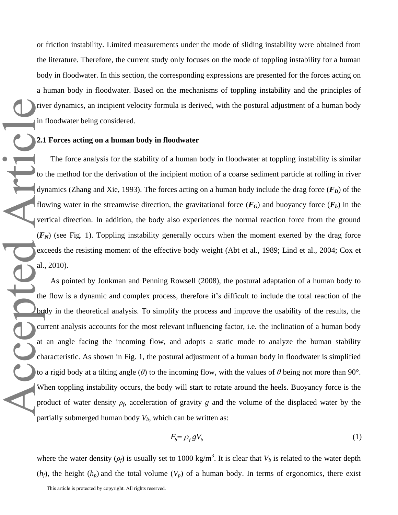or friction instability. Limited measurements under the mode of sliding instability were obtained from the literature. Therefore, the current study only focuses on the mode of toppling instability for a human body in floodwater. In this section, the corresponding expressions are presented for the forces acting on a human body in floodwater. Based on the mechanisms of toppling instability and the principles of river dynamics, an incipient velocity formula is derived, with the postural adjustment of a human body in floodwater being considered.

#### **2.1 Forces acting on a human body in floodwater**

The force analysis for the stability of a human body in floodwater at toppling instability is similar to the method for the derivation of the incipient motion of a coarse sediment particle at rolling in river dynamics (Zhang and Xie, 1993). The forces acting on a human body include the drag force (*FD*) of the flowing water in the streamwise direction, the gravitational force  $(F_G)$  and buoyancy force  $(F_b)$  in the vertical direction. In addition, the body also experiences the normal reaction force from the ground  $(F_N)$  (see Fig. 1). Toppling instability generally occurs when the moment exerted by the drag force exceeds the resisting moment of the effective body weight (Abt et al., 1989; Lind et al., 2004; Cox et al., 2010).

Free Contracts of the dynam flowir vertice (F<sub>N</sub>) (C) al., 20<br>
al., 20<br>
al., 20<br>
al., 20<br>
al., 20<br>
al., 20<br>
al., 20<br>
al., 20<br>
al., 20<br>
al., 20<br>
al., 20<br>
al., 20<br>
al., 20<br>
al., 20<br>
al., 20<br>
al., 20<br>
al., 20<br>
al., 20<br>
al., 2 As pointed by Jonkman and Penning Rowsell (2008), the postural adaptation of a human body to the flow is a dynamic and complex process, therefore it's difficult to include the total reaction of the body in the theoretical analysis. To simplify the process and improve the usability of the results, the current analysis accounts for the most relevant influencing factor, i.e. the inclination of a human body at an angle facing the incoming flow, and adopts a static mode to analyze the human stability characteristic. As shown in Fig. 1, the postural adjustment of a human body in floodwater is simplified to a rigid body at a tilting angle (*θ*) to the incoming flow, with the values of *θ* being not more than 90°. When toppling instability occurs, the body will start to rotate around the heels. Buoyancy force is the product of water density  $\rho_f$ , acceleration of gravity *g* and the volume of the displaced water by the partially submerged human body *Vb*, which can be written as:

$$
F_b = \rho_f g V_b \tag{1}
$$

where the water density  $(\rho_f)$  is usually set to 1000 kg/m<sup>3</sup>. It is clear that  $V_b$  is related to the water depth  $(h_f)$ , the height  $(h_p)$  and the total volume  $(V_p)$  of a human body. In terms of ergonomics, there exist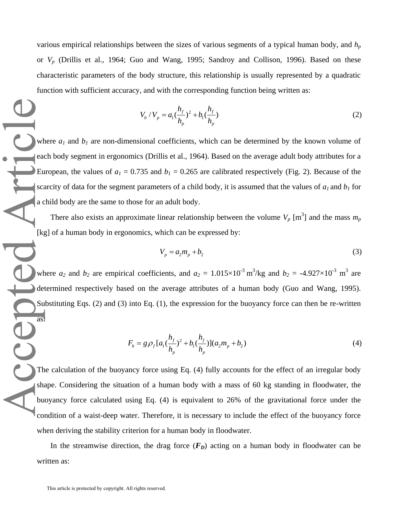various empirical relationships between the sizes of various segments of a typical human body, and *h<sup>p</sup>* or *Vp* (Drillis et al., 1964; Guo and Wang, 1995; Sandroy and Collison, 1996). Based on these characteristic parameters of the body structure, this relationship is usually represented by a quadratic function with sufficient accuracy, and with the corresponding function being written as:

$$
V_b / V_p = a_1 \left(\frac{h_f}{h_p}\right)^2 + b_1 \left(\frac{h_f}{h_p}\right) \tag{2}
$$

Maria Condition of the Condition of the Condition of the Condition of the Condition of Condition of Conditional Condition of Condition of Condition of Condition of Condition of Condition of Condition of Condition of Condit where  $a_1$  and  $b_1$  are non-dimensional coefficients, which can be determined by the known volume of each body segment in ergonomics (Drillis et al., 1964). Based on the average adult body attributes for a European, the values of  $a_1 = 0.735$  and  $b_1 = 0.265$  are calibrated respectively (Fig. 2). Because of the scarcity of data for the segment parameters of a child body, it is assumed that the values of  $a_1$  and  $b_1$  for a child body are the same to those for an adult body.

There also exists an approximate linear relationship between the volume  $V_p$  [m<sup>3</sup>] and the mass  $m_p$ [kg] of a human body in ergonomics, which can be expressed by:

$$
V_p = a_2 m_p + b_2 \tag{3}
$$

where  $a_2$  and  $b_2$  are empirical coefficients, and  $a_2 = 1.015 \times 10^{-3}$  m<sup>3</sup>/kg and  $b_2 = -4.927 \times 10^{-3}$  m<sup>3</sup> are determined respectively based on the average attributes of a human body (Guo and Wang, 1995). Substituting Eqs. (2) and (3) into Eq. (1), the expression for the buoyancy force can then be re-written as:

$$
F_b = g \rho_f [a_1(\frac{h_f}{h_p})^2 + b_1(\frac{h_f}{h_p})](a_2 m_p + b_2)
$$
\n(4)

The calculation of the buoyancy force using Eq. (4) fully accounts for the effect of an irregular body shape. Considering the situation of a human body with a mass of 60 kg standing in floodwater, the buoyancy force calculated using Eq. (4) is equivalent to 26% of the gravitational force under the condition of a waist-deep water. Therefore, it is necessary to include the effect of the buoyancy force when deriving the stability criterion for a human body in floodwater.

In the streamwise direction, the drag force  $(F_D)$  acting on a human body in floodwater can be written as: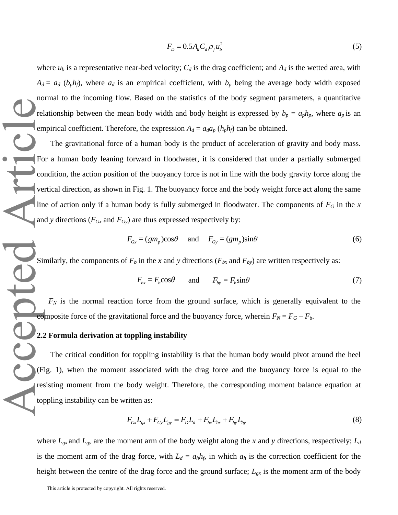$$
F_D = 0.5 A_d C_d \rho_f u_b^2 \tag{5}
$$

where  $u_b$  is a representative near-bed velocity;  $C_d$  is the drag coefficient; and  $A_d$  is the wetted area, with  $A_d = a_d$  (*b<sub>p</sub>h<sub>f</sub>*), where  $a_d$  is an empirical coefficient, with  $b_p$  being the average body width exposed normal to the incoming flow. Based on the statistics of the body segment parameters, a quantitative relationship between the mean body width and body height is expressed by  $b_p = a_p h_p$ , where  $a_p$  is an empirical coefficient. Therefore, the expression  $A_d = a_d a_p (h_p h_f)$  can be obtained.

Condit Condit Condit Condit Vertical Inc. or Condit Vertical Inc. or Condit Vertical Inc. or Condit Vertical Inc. or Condit Vertical Inc. or Condit Vertical Inc. or Condit Vertical Inc. or Condit Condit Vertical Inc. or Co The gravitational force of a human body is the product of acceleration of gravity and body mass. For a human body leaning forward in floodwater, it is considered that under a partially submerged condition, the action position of the buoyancy force is not in line with the body gravity force along the vertical direction, as shown in Fig. 1. The buoyancy force and the body weight force act along the same line of action only if a human body is fully submerged in floodwater. The components of *FG* in the *x* and *y* directions ( $F_{Gx}$  and  $F_{Gy}$ ) are thus expressed respectively by:

$$
F_{Gx} = (gm_p)\cos\theta \quad \text{and} \quad F_{Gy} = (gm_p)\sin\theta \tag{6}
$$

Similarly, the components of  $F_b$  in the *x* and *y* directions ( $F_{bx}$  and  $F_{by}$ ) are written respectively as:

$$
F_{bx} = F_b \cos \theta \qquad \text{and} \qquad F_{by} = F_b \sin \theta \tag{7}
$$

*FN* is the normal reaction force from the ground surface, which is generally equivalent to the composite force of the gravitational force and the buoyancy force, wherein  $F_N = F_G - F_b$ .

### **2.2 Formula derivation at toppling instability**

The critical condition for toppling instability is that the human body would pivot around the heel (Fig. 1), when the moment associated with the drag force and the buoyancy force is equal to the resisting moment from the body weight. Therefore, the corresponding moment balance equation at toppling instability can be written as:

$$
F_{Gx}L_{gx} + F_{Gy}L_{gy} = F_D L_d + F_{bx}L_{bx} + F_{by}L_{by}
$$
\n(8)

where  $L_{gx}$  and  $L_{gy}$  are the moment arm of the body weight along the *x* and *y* directions, respectively;  $L_d$ is the moment arm of the drag force, with  $L_d = a_h h_f$ , in which  $a_h$  is the correction coefficient for the height between the centre of the drag force and the ground surface; *Lgx* is the moment arm of the body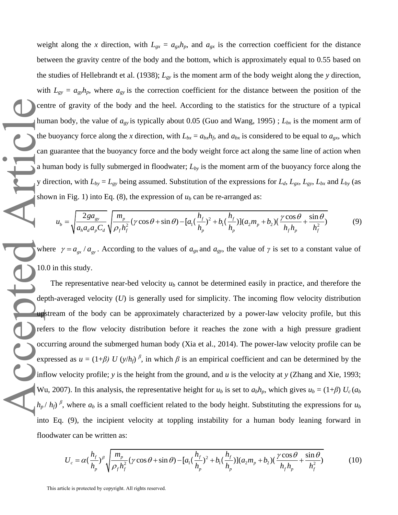weight along the *x* direction, with  $L_{gx} = a_{gx}h_p$ , and  $a_{gx}$  is the correction coefficient for the distance between the gravity centre of the body and the bottom, which is approximately equal to 0.55 based on the studies of Hellebrandt et al. (1938); *Lgy* is the moment arm of the body weight along the *y* direction, with  $L_{gy} = a_{gy}h_p$ , where  $a_{gy}$  is the correction coefficient for the distance between the position of the centre of gravity of the body and the heel. According to the statistics for the structure of a typical human body, the value of  $a_{gy}$  is typically about 0.05 (Guo and Wang, 1995);  $L_{bx}$  is the moment arm of the buoyancy force along the *x* direction, with  $L_{bx} = a_{bx}h_f$ , and  $a_{bx}$  is considered to be equal to  $a_{gx}$ , which can guarantee that the buoyancy force and the body weight force act along the same line of action when a human body is fully submerged in floodwater; *Lby* is the moment arm of the buoyancy force along the y direction, with  $L_{by} = L_{gy}$  being assumed. Substitution of the expressions for  $L_d$ ,  $L_{gx}$ ,  $L_{gy}$ ,  $L_{bx}$  and  $L_{by}$  (as shown in Fig. 1) into Eq. (8), the expression of  $u_b$  can be re-arranged as:

$$
u_b = \sqrt{\frac{2ga_{gy}}{a_h a_d a_p C_d}} \sqrt{\frac{m_p}{\rho_f h_f^2}} (\gamma \cos \theta + \sin \theta) - [a_1(\frac{h_f}{h_p})^2 + b_1(\frac{h_f}{h_p})](a_2 m_p + b_2)(\frac{\gamma \cos \theta}{h_f h_p} + \frac{\sin \theta}{h_f^2})
$$
(9)

where  $\gamma = a_{gx} / a_{gy}$ . According to the values of  $a_{gx}$  and  $a_{gy}$ , the value of  $\gamma$  is set to a constant value of 10.0 in this study.

 $\footnotesize \begin{tabular}{|c|c|} \hline \textbf{Centre} \textbf{huma} \end{tabular} \footnotesize \begin{tabular}{|c|c|} \hline \textbf{center} \end{tabular} \footnotesize \begin{tabular}{|c|c|} \hline \textbf{center} \end{tabular} \footnotesize \begin{tabular}{|c|c|} \hline \textbf{center} \end{tabular} \footnotesize \begin{tabular}{|c|c|} \hline \textbf{center} \end{tabular} \footnotesize \begin{tabular}{|c|c|} \hline \textbf{center} \end{tabular} \footnotesize \begin{tabular}{|c|c|} \hline \textbf{center} \end$ The representative near-bed velocity  $u<sub>b</sub>$  cannot be determined easily in practice, and therefore the depth-averaged velocity (*U*) is generally used for simplicity. The incoming flow velocity distribution upstream of the body can be approximately characterized by a power-law velocity profile, but this refers to the flow velocity distribution before it reaches the zone with a high pressure gradient occurring around the submerged human body (Xia et al., 2014). The power-law velocity profile can be expressed as  $u = (1+\beta) U (y/h_f)^{\beta}$ , in which  $\beta$  is an empirical coefficient and can be determined by the inflow velocity profile; *y* is the height from the ground, and *u* is the velocity at *y* (Zhang and Xie, 1993; Wu, 2007). In this analysis, the representative height for  $u_b$  is set to  $a_b h_p$ , which gives  $u_b = (1+\beta) U_c(a_b)$  $h_p / h_f$ <sup> $\beta$ </sup>, where  $a_b$  is a small coefficient related to the body height. Substituting the expressions for  $u_b$ into Eq. (9), the incipient velocity at toppling instability for a human body leaning forward in floodwater can be written as:

$$
U_c = \alpha \left(\frac{h_f}{h_p}\right)^{\beta} \sqrt{\frac{m_p}{\rho_f h_f^2} (\gamma \cos \theta + \sin \theta) - [a_1 (\frac{h_f}{h_p})^2 + b_1 (\frac{h_f}{h_p})](a_2 m_p + b_2)(\frac{\gamma \cos \theta}{h_f h_p} + \frac{\sin \theta}{h_f^2})}
$$
(10)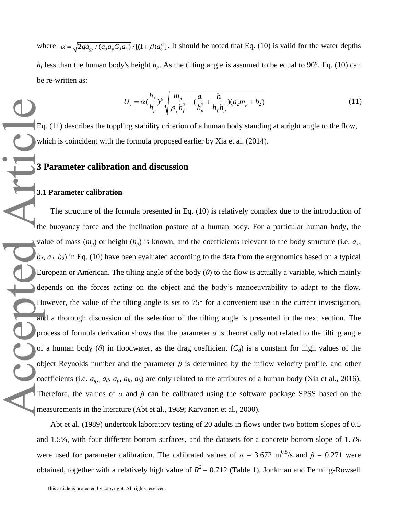where  $\alpha = \sqrt{2 g a_{gy} / (a_d a_p C_d a_h)} / [(1 + \beta) a_b^{\beta}]$ . It should be noted that Eq. (10) is valid for the water depths  $h_f$  less than the human body's height  $h_p$ . As the tilting angle is assumed to be equal to 90°, Eq. (10) can be re-written as:

$$
U_c = \alpha \left(\frac{h_f}{h_p}\right)^{\beta} \sqrt{\frac{m_p}{\rho_f h_f^2} - \left(\frac{a_1}{h_p^2} + \frac{b_1}{h_f h_p}\right) (a_2 m_p + b_2)}
$$
(11)

Eq. (11) describes the toppling stability criterion of a human body standing at a right angle to the flow, which is coincident with the formula proposed earlier by Xia et al. (2014).

## **3 Parameter calibration and discussion**

#### **3.1 Parameter calibration**

Eq. (1<br>
B. 1 Pa<br>
3 Pa<br>
3 Pa<br>
3 Pa<br>
3.1 Pa<br>
3 Pa<br>
3 Pa<br>
3 Pa<br>
3 Pa<br>
3 Pa<br>
3 Pa<br>
3 Pa<br>
3 Pa<br>
3 Pa<br>
3 Pa<br>
3 Pa<br>
3 Pa<br>
3 Pa<br>
3 Pa<br>
3 Pa<br>
2 Pa<br>
2 Pa<br>
3 Pa<br>
2 Pa<br>
3 Pa<br>
3 Pa<br>
3 Pa<br>
3 Pa<br>
3 Pa<br>
3 Pa<br>
3 Pa<br>
3 Pa<br>
3 Pa<br>
3 Pa<br>
3 Pa<br> The structure of the formula presented in Eq. (10) is relatively complex due to the introduction of the buoyancy force and the inclination posture of a human body. For a particular human body, the value of mass  $(m_p)$  or height  $(h_p)$  is known, and the coefficients relevant to the body structure (i.e.  $a_l$ )  $b_1$ ,  $a_2$ ,  $b_2$ ) in Eq. (10) have been evaluated according to the data from the ergonomics based on a typical European or American. The tilting angle of the body  $(\theta)$  to the flow is actually a variable, which mainly depends on the forces acting on the object and the body's manoeuvrability to adapt to the flow. However, the value of the tilting angle is set to 75° for a convenient use in the current investigation, and a thorough discussion of the selection of the tilting angle is presented in the next section. The process of formula derivation shows that the parameter  $\alpha$  is theoretically not related to the tilting angle of a human body ( $\theta$ ) in floodwater, as the drag coefficient ( $C_d$ ) is a constant for high values of the object Reynolds number and the parameter  $\beta$  is determined by the inflow velocity profile, and other coefficients (i.e.  $a_{gy}$ ,  $a_d$ ,  $a_p$ ,  $a_h$ ,  $a_b$ ) are only related to the attributes of a human body (Xia et al., 2016). Therefore, the values of  $\alpha$  and  $\beta$  can be calibrated using the software package SPSS based on the measurements in the literature (Abt et al., 1989; Karvonen et al., 2000).

Abt et al. (1989) undertook laboratory testing of 20 adults in flows under two bottom slopes of 0.5 and 1.5%, with four different bottom surfaces, and the datasets for a concrete bottom slope of 1.5% were used for parameter calibration. The calibrated values of  $\alpha = 3.672 \text{ m}^{0.5}/\text{s}$  and  $\beta = 0.271$  were obtained, together with a relatively high value of  $R^2 = 0.712$  (Table 1). Jonkman and Penning-Rowsell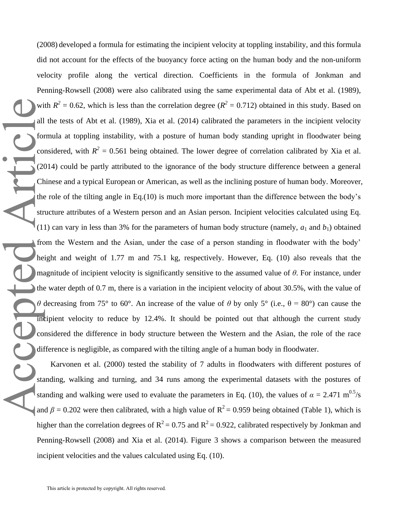With  $\mu$ <br>all the<br>distribution consider<br>consider (2014)<br>Chine<br>the ro<br>struct (11) c<br>from the way<br>differe<br> $\theta$  decreased  $\theta$  decreased  $\theta$ <br>incipie<br>consider  $\theta$ <br>decreased  $\theta$ <br>and  $\beta$ (2008) developed a formula for estimating the incipient velocity at toppling instability, and this formula did not account for the effects of the buoyancy force acting on the human body and the non-uniform velocity profile along the vertical direction. Coefficients in the formula of Jonkman and Penning-Rowsell (2008) were also calibrated using the same experimental data of Abt et al. (1989), with  $R^2 = 0.62$ , which is less than the correlation degree ( $R^2 = 0.712$ ) obtained in this study. Based on all the tests of Abt et al. (1989), Xia et al. (2014) calibrated the parameters in the incipient velocity formula at toppling instability, with a posture of human body standing upright in floodwater being considered, with  $R^2 = 0.561$  being obtained. The lower degree of correlation calibrated by Xia et al. (2014) could be partly attributed to the ignorance of the body structure difference between a general Chinese and a typical European or American, as well as the inclining posture of human body. Moreover, the role of the tilting angle in Eq.(10) is much more important than the difference between the body's structure attributes of a Western person and an Asian person. Incipient velocities calculated using Eq. (11) can vary in less than 3% for the parameters of human body structure (namely,  $a_1$  and  $b_1$ ) obtained from the Western and the Asian, under the case of a person standing in floodwater with the body' height and weight of 1.77 m and 75.1 kg, respectively. However, Eq. (10) also reveals that the magnitude of incipient velocity is significantly sensitive to the assumed value of *θ*. For instance, under the water depth of 0.7 m, there is a variation in the incipient velocity of about 30.5%, with the value of *θ* decreasing from 75° to 60°. An increase of the value of *θ* by only 5° (i.e.,  $\theta = 80^{\circ}$ ) can cause the incipient velocity to reduce by 12.4%. It should be pointed out that although the current study considered the difference in body structure between the Western and the Asian, the role of the race difference is negligible, as compared with the tilting angle of a human body in floodwater.

Karvonen et al. (2000) tested the stability of 7 adults in floodwaters with different postures of standing, walking and turning, and 34 runs among the experimental datasets with the postures of standing and walking were used to evaluate the parameters in Eq. (10), the values of  $\alpha = 2.471 \text{ m}^{0.5}/\text{s}$ and  $\beta$  = 0.202 were then calibrated, with a high value of R<sup>2</sup> = 0.959 being obtained (Table 1), which is higher than the correlation degrees of  $R^2 = 0.75$  and  $R^2 = 0.922$ , calibrated respectively by Jonkman and Penning-Rowsell (2008) and Xia et al. (2014). Figure 3 shows a comparison between the measured incipient velocities and the values calculated using Eq. (10).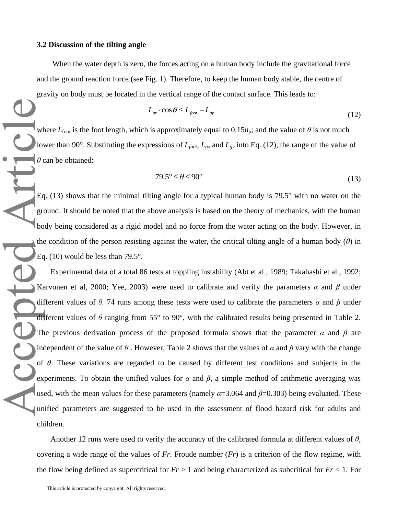#### **3.2 Discussion of the tilting angle**

 $\overline{ }$ 

When the water depth is zero, the forces acting on a human body include the gravitational force and the ground reaction force (see Fig. 1). Therefore, to keep the human body stable, the centre of gravity on body must be located in the vertical range of the contact surface. This leads to:

$$
L_{gx} \cdot \cos \theta \le L_{foot} - L_{gy} \tag{12}
$$

where  $L_{\text{foot}}$  is the foot length, which is approximately equal to 0.15 $h_p$ ; and the value of  $\theta$  is not much lower than 90°. Substituting the expressions of *Lfoot*, *Lgx* and *Lgy* into Eq. (12), the range of the value of *θ* can be obtained:

$$
79.5^{\circ} \le \theta \le 90^{\circ} \tag{13}
$$

Eq. (13) shows that the minimal tilting angle for a typical human body is 79.5° with no water on the ground. It should be noted that the above analysis is based on the theory of mechanics, with the human body being considered as a rigid model and no force from the water acting on the body. However, in the condition of the person resisting against the water, the critical tilting angle of a human body (*θ*) in Eq. (10) would be less than  $79.5^{\circ}$ .

Where<br>
Molecule 19 Colomer<br>
Burge Article 19 Colomer<br>
Burge Article 19 Colomer<br>
Burge Article 19 Colomer<br>
Colomer Article 19 Colomer<br>
Colomer Article 19 Colomer<br>
Colomer Article 19 Colomer<br>
Unified Nexpering Unified Numifi Experimental data of a total 86 tests at toppling instability (Abt et al., 1989; Takahashi et al., 1992; Karvonen et al, 2000; Yee, 2003) were used to calibrate and verify the parameters  $\alpha$  and  $\beta$  under different values of  $\theta$ . 74 runs among these tests were used to calibrate the parameters  $\alpha$  and  $\beta$  under different values of  $\theta$  ranging from 55° to 90°, with the calibrated results being presented in Table 2. The previous derivation process of the proposed formula shows that the parameter  $\alpha$  and  $\beta$  are independent of the value of  $\theta$ . However, Table 2 shows that the values of  $\alpha$  and  $\beta$  vary with the change of *θ*. These variations are regarded to be caused by different test conditions and subjects in the experiments. To obtain the unified values for  $\alpha$  and  $\beta$ , a simple method of arithmetic averaging was used, with the mean values for these parameters (namely  $\alpha$ =3.064 and  $\beta$ =0.303) being evaluated. These unified parameters are suggested to be used in the assessment of flood hazard risk for adults and children.

Another 12 runs were used to verify the accuracy of the calibrated formula at different values of *θ*, covering a wide range of the values of *Fr*. Froude number (*Fr*) is a criterion of the flow regime, with the flow being defined as supercritical for  $Fr > 1$  and being characterized as subcritical for  $Fr < 1$ . For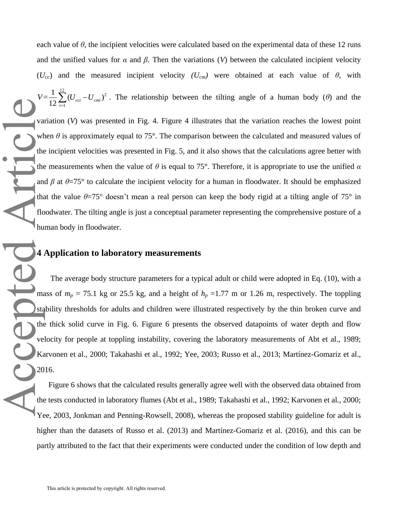each value of  $\theta$ , the incipient velocities were calculated based on the experimental data of these 12 runs and the unified values for  $\alpha$  and  $\beta$ . Then the variations (V) between the calculated incipient velocity  $(U_{cc})$  and the measured incipient velocity  $(U_{cm})$  were obtained at each value of  $\theta$ , with  $\sum_{i=1}^{12} (II - II)^2$  $=\frac{1}{12}\sum_{i=1}^{12}(U_{cci}-U_{cmi})$  $\sum_{i=1}^{n} (U_{\text{cc}i} - U_{\text{cm}i})^2$ . The relationship between the tilting angle of a human body ( $\theta$ ) and the  $V = \frac{1}{4\pi} \sum (U_{\text{cei}} - U)$  $ci$   $\circ$  c Accepted Articles Contact of the the the test<br>
of the the mass of stability<br>
of the the mass of stability<br>
of the the the the test<br>
of the test<br>
of the test<br>
of the test<br>
of the test<br>
of the test<br>
of the test<br>
of the test 1 variation (*V*) was presented in Fig. 4. Figure 4 illustrates that the variation reaches the lowest point when  $\theta$  is approximately equal to 75°. The comparison between the calculated and measured values of **NHV** the incipient velocities was presented in Fig. 5, and it also shows that the calculations agree better with the measurements when the value of  $\theta$  is equal to 75°. Therefore, it is appropriate to use the unified  $\alpha$ and  $\beta$  at  $\theta$ =75° to calculate the incipient velocity for a human in floodwater. It should be emphasized that the value  $\theta = 75^{\circ}$  doesn't mean a real person can keep the body rigid at a tilting angle of  $75^{\circ}$  in floodwater. The tilting angle is just a conceptual parameter representing the comprehensive posture of a human body in floodwater.

## **4 Application to laboratory measurements**

The average body structure parameters for a typical adult or child were adopted in Eq. (10), with a mass of  $m_p = 75.1$  kg or 25.5 kg, and a height of  $h_p = 1.77$  m or 1.26 m, respectively. The toppling stability thresholds for adults and children were illustrated respectively by the thin broken curve and the thick solid curve in Fig. 6. Figure 6 presents the observed datapoints of water depth and flow velocity for people at toppling instability, covering the laboratory measurements of Abt et al., 1989; Karvonen et al., 2000; Takahashi et al., 1992; Yee, 2003; Russo et al., 2013; Martínez-Gomariz et al., 2016.

Figure 6 shows that the calculated results generally agree well with the observed data obtained from the tests conducted in laboratory flumes (Abt et al., 1989; Takahashi et al., 1992; Karvonen et al*.*, 2000; Yee, 2003, Jonkman and Penning-Rowsell, 2008), whereas the proposed stability guideline for adult is higher than the datasets of Russo et al. (2013) and Martínez-Gomariz et al. (2016), and this can be partly attributed to the fact that their experiments were conducted under the condition of low depth and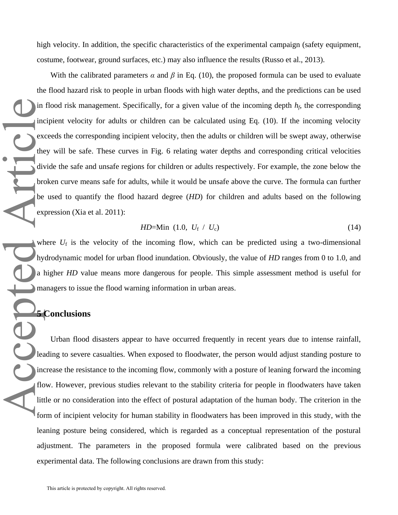high velocity. In addition, the specific characteristics of the experimental campaign (safety equipment, costume, footwear, ground surfaces, etc.) may also influence the results (Russo et al., 2013).

in flood<br>incipie<br>incipie<br>divide<br>be use<br>of come<br>and flow.<br>Iittle comments With the calibrated parameters  $\alpha$  and  $\beta$  in Eq. (10), the proposed formula can be used to evaluate the flood hazard risk to people in urban floods with high water depths, and the predictions can be used in flood risk management. Specifically, for a given value of the incoming depth  $h_f$ , the corresponding incipient velocity for adults or children can be calculated using Eq. (10). If the incoming velocity exceeds the corresponding incipient velocity, then the adults or children will be swept away, otherwise they will be safe. These curves in Fig. 6 relating water depths and corresponding critical velocities divide the safe and unsafe regions for children or adults respectively. For example, the zone below the broken curve means safe for adults, while it would be unsafe above the curve. The formula can further be used to quantify the flood hazard degree (*HD*) for children and adults based on the following expression (Xia et al. 2011):

$$
HD = Min (1.0, Uf / Uc)
$$
 (14)

where  $U_f$  is the velocity of the incoming flow, which can be predicted using a two-dimensional hydrodynamic model for urban flood inundation. Obviously, the value of *HD* ranges from 0 to 1.0, and a higher *HD* value means more dangerous for people. This simple assessment method is useful for managers to issue the flood warning information in urban areas.

## **5 Conclusions**

Urban flood disasters appear to have occurred frequently in recent years due to intense rainfall, leading to severe casualties. When exposed to floodwater, the person would adjust standing posture to increase the resistance to the incoming flow, commonly with a posture of leaning forward the incoming flow. However, previous studies relevant to the stability criteria for people in floodwaters have taken little or no consideration into the effect of postural adaptation of the human body. The criterion in the form of incipient velocity for human stability in floodwaters has been improved in this study, with the leaning posture being considered, which is regarded as a conceptual representation of the postural adjustment. The parameters in the proposed formula were calibrated based on the previous experimental data. The following conclusions are drawn from this study: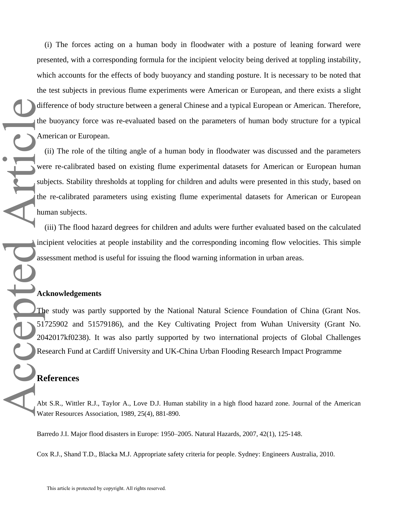(i) The forces acting on a human body in floodwater with a posture of leaning forward were presented, with a corresponding formula for the incipient velocity being derived at toppling instability, which accounts for the effects of body buoyancy and standing posture. It is necessary to be noted that the test subjects in previous flume experiments were American or European, and there exists a slight difference of body structure between a general Chinese and a typical European or American. Therefore, the buoyancy force was re-evaluated based on the parameters of human body structure for a typical American or European.

differe<br>the bu<br>the re<br>subject the re<br>human<br>(iii)<br>assess<br>Ackne<br>The s<br>51725<br>20420<br>Resea<br>Refer (ii) The role of the tilting angle of a human body in floodwater was discussed and the parameters were re-calibrated based on existing flume experimental datasets for American or European human subjects. Stability thresholds at toppling for children and adults were presented in this study, based on the re-calibrated parameters using existing flume experimental datasets for American or European human subjects.

(iii) The flood hazard degrees for children and adults were further evaluated based on the calculated incipient velocities at people instability and the corresponding incoming flow velocities. This simple assessment method is useful for issuing the flood warning information in urban areas.

### **Acknowledgements**

The study was partly supported by the National Natural Science Foundation of China (Grant Nos. 51725902 and 51579186), and the Key Cultivating Project from Wuhan University (Grant No. 2042017kf0238). It was also partly supported by two international projects of Global Challenges Research Fund at Cardiff University and UK-China Urban Flooding Research Impact Programme

## **References**

Abt S.R., Wittler R.J., Taylor A., Love D.J. Human stability in a high flood hazard zone. Journal of the American Water Resources Association, 1989, 25(4), 881-890.

Barredo J.I. Major flood disasters in Europe: 1950–2005. Natural Hazards, 2007, 42(1), 125-148.

Cox R.J., Shand T.D., Blacka M.J. Appropriate safety criteria for people. Sydney: Engineers Australia, 2010.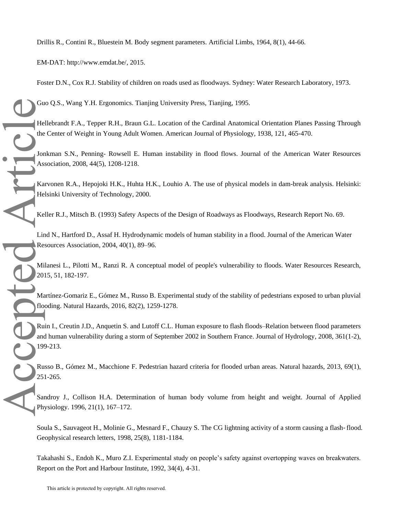Drillis R., Contini R., Bluestein M. Body segment parameters. Artificial Limbs, 1964, 8(1), 44-66.

EM-DAT: [http://www.emdat.be/,](http://www.emdat.be/) 2015.

rtic

Foster D.N., Cox R.J. Stability of children on roads used as floodways. Sydney: Water Research Laboratory, 1973.

Guo Q.S., Wang Y.H. Ergonomics. Tianjing University Press, Tianjing, 1995.

Hellebrandt F.A., Tepper R.H., Braun G.L. Location of the Cardinal Anatomical Orientation Planes Passing Through the Center of Weight in Young Adult Women. American Journal of Physiology, 1938, 121, 465-470.

Jonkman S.N., Penning- Rowsell E. Human instability in flood flows. Journal of the American Water Resources Association, 2008, 44(5), 1208-1218.

Karvonen R.A., Hepojoki H.K., Huhta H.K., Louhio A. The use of physical models in dam-break analysis. Helsinki: Helsinki University of Technology, 2000.

Keller R.J., Mitsch B. (1993) Safety Aspects of the Design of Roadways as Floodways, Research Report No. 69.

Lind N., Hartford D., Assaf H. Hydrodynamic models of human stability in a flood. Journal of the American Water Resources Association, 2004, 40(1), 89–96.

Milanesi L., Pilotti M., Ranzi R. A conceptual model of people's vulnerability to floods. Water Resources Research, 2015, 51, 182-197.

Martínez-Gomariz E., Gómez M., Russo B. Experimental study of the stability of pedestrians exposed to urban pluvial flooding. Natural Hazards, 2016, 82(2), 1259-1278.

Guo Q<br>Hellebi the Cer<br>Monkma<br>Associ Karvor<br>Helsinl<br>Keller<br>Lind N<br>Resour<br>Millane<br>2015, 5<br>Martín<br>Hoodin<br>Ruin I.<br>and hu:<br>199-21<br>Sandro Physio<br>Sandro Physion<br>Sandro Physion Ruin I., Creutin J.D., Anquetin S. and Lutoff C.L. Human exposure to flash floods–Relation between flood parameters and human vulnerability during a storm of September 2002 in Southern France. Journal of Hydrology, 2008, 361(1-2), 199-213.

Russo B., Gómez M., Macchione F. Pedestrian hazard criteria for flooded urban areas. Natural hazards, 2013, 69(1), 251-265.

Sandroy J., Collison H.A. Determination of human body volume from height and weight. Journal of Applied Physiology. 1996, 21(1), 167–172.

Soula S., Sauvageot H., Molinie G., Mesnard F., Chauzy S. The CG lightning activity of a storm causing a flash-flood. Geophysical research letters, 1998, 25(8), 1181-1184.

Takahashi S., Endoh K., Muro Z.I. Experimental study on people's safety against overtopping waves on breakwaters. Report on the Port and Harbour Institute, 1992, 34(4), 4-31.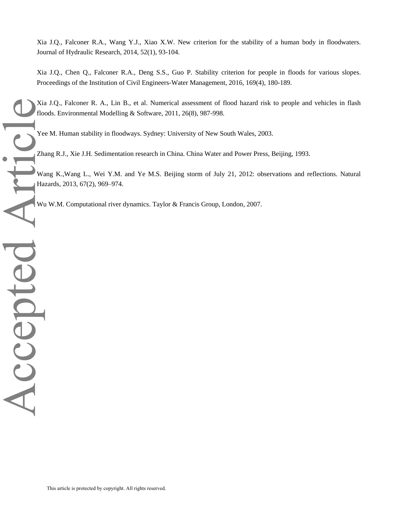Xia J.Q., Falconer R.A., Wang Y.J., Xiao X.W. New criterion for the stability of a human body in floodwaters. Journal of Hydraulic Research, 2014, 52(1), 93-104.

Xia J.Q., Chen Q., Falconer R.A., Deng S.S., Guo P. Stability criterion for people in floods for various slopes. Proceedings of the Institution of Civil Engineers-Water Management, 2016, 169(4), 180-189.

Xia J.Q., Falconer R. A., Lin B., et al. Numerical assessment of flood hazard risk to people and vehicles in flash floods. Environmental Modelling & Software, 2011, 26(8), 987-998.

Yee M. Human stability in floodways. Sydney: University of New South Wales, 2003.

Zhang R.J., Xie J.H. Sedimentation research in China. China Water and Power Press, Beijing, 1993.

Wang K.,Wang L., Wei Y.M. and Ye M.S. Beijing storm of July 21, 2012: observations and reflections. Natural Hazards, 2013, 67(2), 969–974.

Wu W.M. Computational river dynamics. Taylor & Francis Group, London, 2007.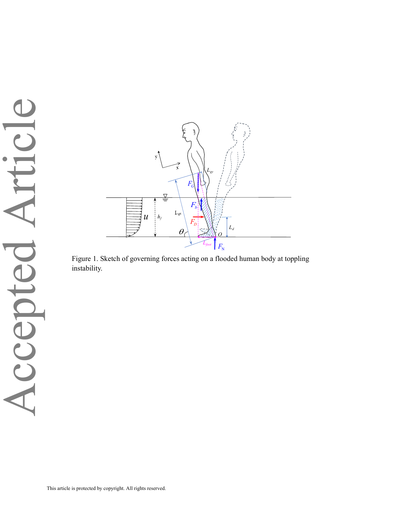

Figure 1. Sketch of governing forces acting on a flooded human body at toppling instability.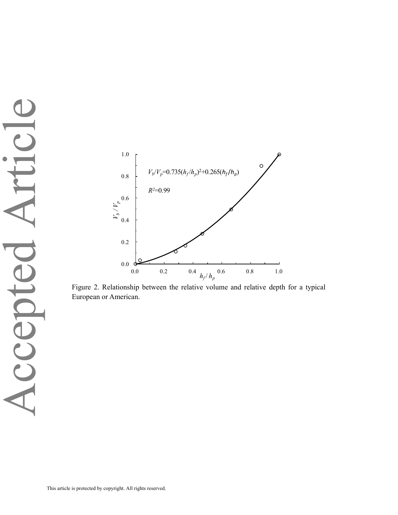

Figure 2. Relationship between the relative volume and relative depth for a typical European or American.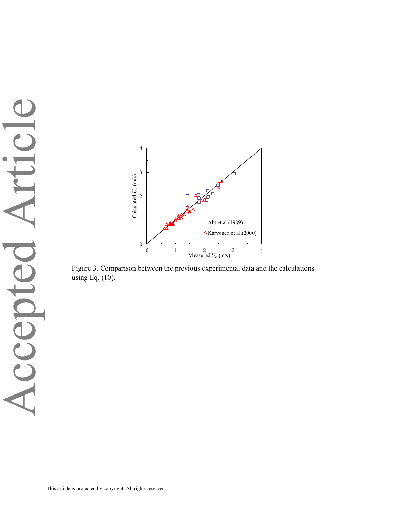

Figure 3. Comparison between the previous experimental data and the calculations using Eq.  $(10)$ .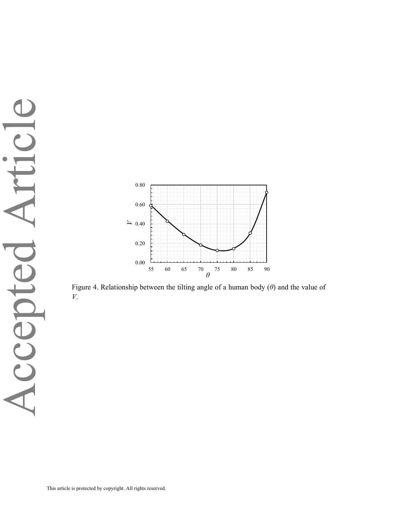Articl Accepted



Figure 4. Relationship between the tilting angle of a human body  $(\theta)$  and the value of  $V_{\cdot}$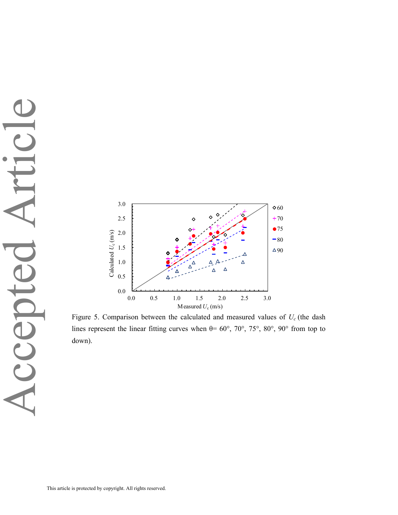



Figure 5. Comparison between the calculated and measured values of *U<sup>c</sup>* (the dash lines represent the linear fitting curves when  $\theta$ = 60°, 70°, 75°, 80°, 90° from top to down).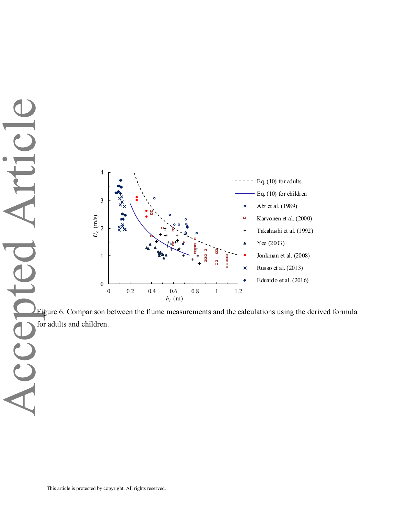

Figure 6. Comparison between the flume measurements and the calculations using the derived formula<br>for adults and children.

TICI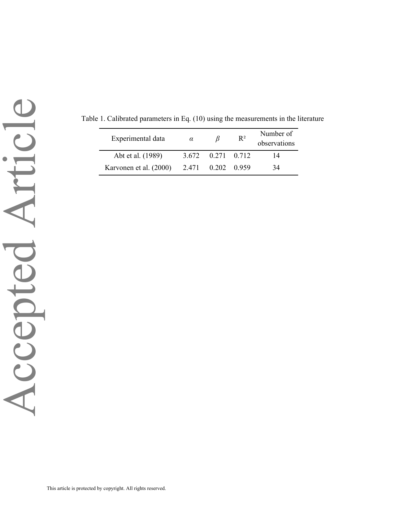| Experimental data      | $\alpha$ | К                 | $R^2$ | Number of<br>observations |
|------------------------|----------|-------------------|-------|---------------------------|
| Abt et al. (1989)      | 3.672    | 0 271 0 712       |       | 14                        |
| Karvonen et al. (2000) |          | 2.471 0.202 0.959 |       | 34                        |

Table 1. Calibrated parameters in Eq. (10) using the measurements in the literature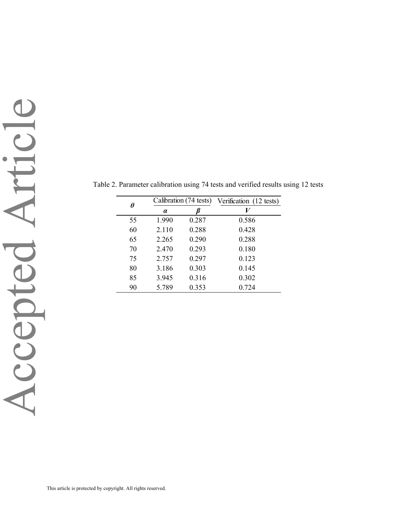| $\theta$ | Calibration (74 tests) |       | Verification (12 tests) |
|----------|------------------------|-------|-------------------------|
|          | $\alpha$               |       | V                       |
| 55       | 1.990                  | 0.287 | 0.586                   |
| 60       | 2.110                  | 0.288 | 0.428                   |
| 65       | 2.265                  | 0.290 | 0.288                   |
| 70       | 2470                   | 0.293 | 0.180                   |
| 75       | 2.757                  | 0.297 | 0.123                   |
| 80       | 3.186                  | 0.303 | 0.145                   |
| 85       | 3.945                  | 0.316 | 0.302                   |
| 90       | 5.789                  | 0.353 | 0.724                   |

Table 2. Parameter calibration using 74 tests and verified results using 12 tests